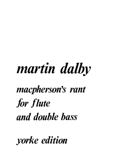## martin dalby

## macpherson's rant for flute and double bass

## *vorke edition*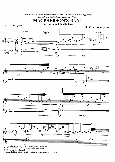For Rodney Slatford, commissioned by him with the aid of funds supplied by the Calouste Gulbenkian Foundation. Lisbon

MACPHERSON'S RANT

Duration 8'00" approx.

for flutes and double bass

MARTIN DALBY (1971)



b) a rest in brackets is only approximately its usual length.

 $©$  1974 by Rodney Slatford

Yorke Edition, 8 Cecil Road, London W3 0DA, England YE 0035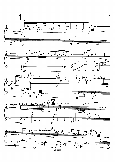





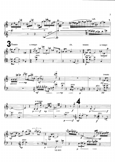







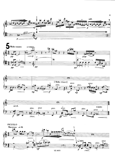







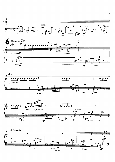





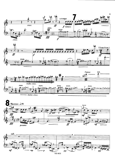







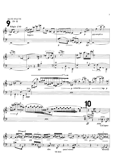







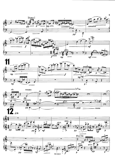











 $\boldsymbol{8}$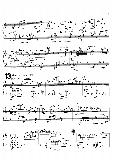